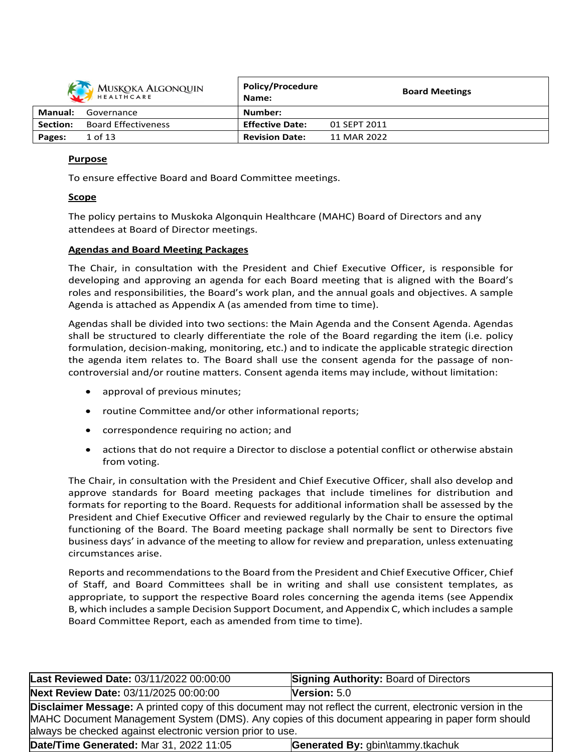

| MUSKOKA ALGONQUIN<br><b>HEALTHCARE</b> |                            | <b>POIICY/Procedure</b><br>Name: | <b>Board Meetings</b> |
|----------------------------------------|----------------------------|----------------------------------|-----------------------|
| Manual:                                | Governance                 | Number:                          |                       |
| <b>Section:</b>                        | <b>Board Effectiveness</b> | <b>Effective Date:</b>           | 01 SEPT 2011          |
| Pages:                                 | 1 of 13                    | <b>Revision Date:</b>            | 11 MAR 2022           |

**Policy/Procedure**

### **Purpose**

To ensure effective Board and Board Committee meetings.

### **Scope**

The policy pertains to Muskoka Algonquin Healthcare (MAHC) Board of Directors and any attendees at Board of Director meetings.

### **Agendas and Board Meeting Packages**

The Chair, in consultation with the President and Chief Executive Officer, is responsible for developing and approving an agenda for each Board meeting that is aligned with the Board's roles and responsibilities, the Board's work plan, and the annual goals and objectives. A sample Agenda is attached as Appendix A (as amended from time to time).

Agendas shall be divided into two sections: the Main Agenda and the Consent Agenda. Agendas shall be structured to clearly differentiate the role of the Board regarding the item (i.e. policy formulation, decision-making, monitoring, etc.) and to indicate the applicable strategic direction the agenda item relates to. The Board shall use the consent agenda for the passage of noncontroversial and/or routine matters. Consent agenda items may include, without limitation:

- approval of previous minutes;
- routine Committee and/or other informational reports;
- correspondence requiring no action; and
- actions that do not require a Director to disclose a potential conflict or otherwise abstain from voting.

The Chair, in consultation with the President and Chief Executive Officer, shall also develop and approve standards for Board meeting packages that include timelines for distribution and formats for reporting to the Board. Requests for additional information shall be assessed by the President and Chief Executive Officer and reviewed regularly by the Chair to ensure the optimal functioning of the Board. The Board meeting package shall normally be sent to Directors five business days' in advance of the meeting to allow for review and preparation, unless extenuating circumstances arise.

Reports and recommendations to the Board from the President and Chief Executive Officer, Chief of Staff, and Board Committees shall be in writing and shall use consistent templates, as appropriate, to support the respective Board roles concerning the agenda items (see Appendix B, which includes a sample Decision Support Document, and Appendix C, which includes a sample Board Committee Report, each as amended from time to time).

| Last Reviewed Date: 03/11/2022 00:00:00                                     | <b>Signing Authority: Board of Directors</b>                                                                                                                                                                           |  |  |  |  |
|-----------------------------------------------------------------------------|------------------------------------------------------------------------------------------------------------------------------------------------------------------------------------------------------------------------|--|--|--|--|
| Next Review Date: 03/11/2025 00:00:00                                       | Version: 5.0                                                                                                                                                                                                           |  |  |  |  |
| always be checked against electronic version prior to use.                  | <b>Disclaimer Message:</b> A printed copy of this document may not reflect the current, electronic version in the<br>MAHC Document Management System (DMS). Any copies of this document appearing in paper form should |  |  |  |  |
| Date/Time Generated: Mar 31, 2022 11:05<br>Generated By: gbin\tammy.tkachuk |                                                                                                                                                                                                                        |  |  |  |  |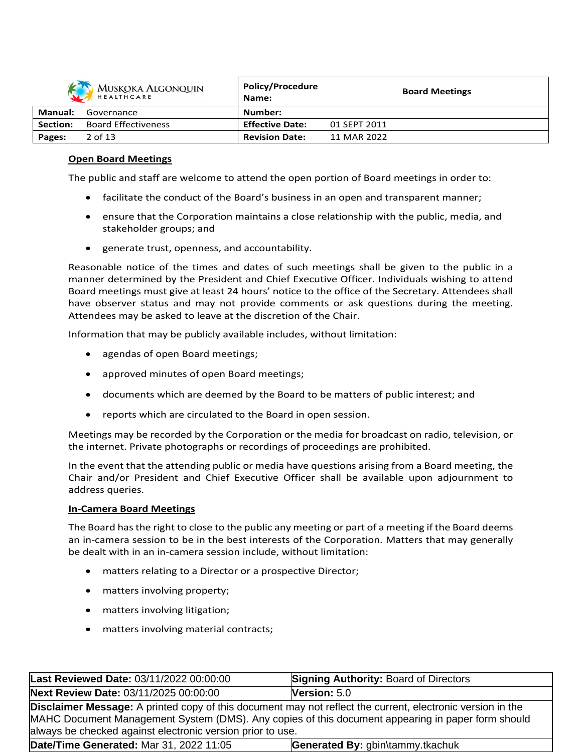| MUSKOKA ALGONQUIN |                            | <b>Policy/Procedure</b><br>Name: |              | <b>Board Meetings</b> |
|-------------------|----------------------------|----------------------------------|--------------|-----------------------|
| Manual:           | Governance                 | Number:                          |              |                       |
| Section:          | <b>Board Effectiveness</b> | <b>Effective Date:</b>           | 01 SEPT 2011 |                       |
| Pages:            | $2$ of 13                  | <b>Revision Date:</b>            | 11 MAR 2022  |                       |

### **Open Board Meetings**

The public and staff are welcome to attend the open portion of Board meetings in order to:

- facilitate the conduct of the Board's business in an open and transparent manner;
- ensure that the Corporation maintains a close relationship with the public, media, and stakeholder groups; and
- generate trust, openness, and accountability.

Reasonable notice of the times and dates of such meetings shall be given to the public in a manner determined by the President and Chief Executive Officer. Individuals wishing to attend Board meetings must give at least 24 hours' notice to the office of the Secretary. Attendees shall have observer status and may not provide comments or ask questions during the meeting. Attendees may be asked to leave at the discretion of the Chair.

Information that may be publicly available includes, without limitation:

- agendas of open Board meetings;
- approved minutes of open Board meetings;
- documents which are deemed by the Board to be matters of public interest; and
- reports which are circulated to the Board in open session.

Meetings may be recorded by the Corporation or the media for broadcast on radio, television, or the internet. Private photographs or recordings of proceedings are prohibited.

In the event that the attending public or media have questions arising from a Board meeting, the Chair and/or President and Chief Executive Officer shall be available upon adjournment to address queries.

#### **In-Camera Board Meetings**

The Board has the right to close to the public any meeting or part of a meeting if the Board deems an in-camera session to be in the best interests of the Corporation. Matters that may generally be dealt with in an in-camera session include, without limitation:

- matters relating to a Director or a prospective Director;
- matters involving property;
- matters involving litigation;
- matters involving material contracts;

| Last Reviewed Date: 03/11/2022 00:00:00                                                                                                                                                                                                                                              | <b>Signing Authority: Board of Directors</b> |  |  |  |
|--------------------------------------------------------------------------------------------------------------------------------------------------------------------------------------------------------------------------------------------------------------------------------------|----------------------------------------------|--|--|--|
| Next Review Date: 03/11/2025 00:00:00                                                                                                                                                                                                                                                | <b>Version:</b> $5.0$                        |  |  |  |
| <b>Disclaimer Message:</b> A printed copy of this document may not reflect the current, electronic version in the<br>MAHC Document Management System (DMS). Any copies of this document appearing in paper form should<br>always be checked against electronic version prior to use. |                                              |  |  |  |
| Date/Time Generated: Mar 31, 2022 11:05<br>Generated By: gbin\tammy.tkachuk                                                                                                                                                                                                          |                                              |  |  |  |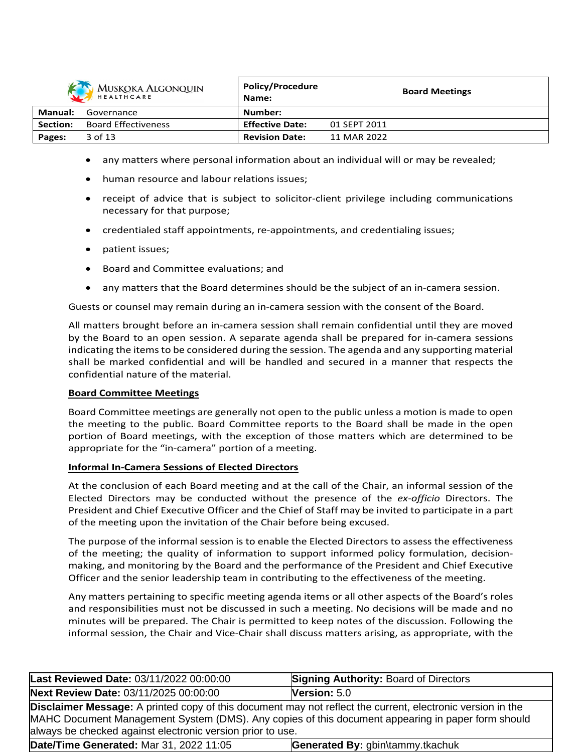

| MUSKOKA ALGONQUIN<br>HEALTHCARE |                            | <b>POIICY/Procedure</b><br>Name: | <b>Board Meetings</b> |
|---------------------------------|----------------------------|----------------------------------|-----------------------|
| Manual:                         | Governance                 | Number:                          |                       |
| Section:                        | <b>Board Effectiveness</b> | <b>Effective Date:</b>           | 01 SEPT 2011          |
| Pages:                          | 3 of 13                    | <b>Revision Date:</b>            | 11 MAR 2022           |

**Policy/Procedure**

- any matters where personal information about an individual will or may be revealed;
- human resource and labour relations issues;
- receipt of advice that is subject to solicitor-client privilege including communications necessary for that purpose;
- credentialed staff appointments, re-appointments, and credentialing issues;
- patient issues;
- Board and Committee evaluations; and
- any matters that the Board determines should be the subject of an in-camera session.

Guests or counsel may remain during an in-camera session with the consent of the Board.

All matters brought before an in-camera session shall remain confidential until they are moved by the Board to an open session. A separate agenda shall be prepared for in-camera sessions indicating the itemsto be considered during the session. The agenda and any supporting material shall be marked confidential and will be handled and secured in a manner that respects the confidential nature of the material.

### **Board Committee Meetings**

Board Committee meetings are generally not open to the public unless a motion is made to open the meeting to the public. Board Committee reports to the Board shall be made in the open portion of Board meetings, with the exception of those matters which are determined to be appropriate for the "in-camera" portion of a meeting.

### **Informal In-Camera Sessions of Elected Directors**

At the conclusion of each Board meeting and at the call of the Chair, an informal session of the Elected Directors may be conducted without the presence of the *ex-officio* Directors. The President and Chief Executive Officer and the Chief of Staff may be invited to participate in a part of the meeting upon the invitation of the Chair before being excused.

The purpose of the informal session is to enable the Elected Directors to assess the effectiveness of the meeting; the quality of information to support informed policy formulation, decisionmaking, and monitoring by the Board and the performance of the President and Chief Executive Officer and the senior leadership team in contributing to the effectiveness of the meeting.

Any matters pertaining to specific meeting agenda items or all other aspects of the Board's roles and responsibilities must not be discussed in such a meeting. No decisions will be made and no minutes will be prepared. The Chair is permitted to keep notes of the discussion. Following the informal session, the Chair and Vice-Chair shall discuss matters arising, as appropriate, with the

| Last Reviewed Date: 03/11/2022 00:00:00                                     | <b>Signing Authority: Board of Directors</b>                                                                                                                                                                           |  |  |  |
|-----------------------------------------------------------------------------|------------------------------------------------------------------------------------------------------------------------------------------------------------------------------------------------------------------------|--|--|--|
| Next Review Date: 03/11/2025 00:00:00                                       | Version: $5.0$                                                                                                                                                                                                         |  |  |  |
| always be checked against electronic version prior to use.                  | <b>Disclaimer Message:</b> A printed copy of this document may not reflect the current, electronic version in the<br>MAHC Document Management System (DMS). Any copies of this document appearing in paper form should |  |  |  |
| Date/Time Generated: Mar 31, 2022 11:05<br>Generated By: gbin\tammy.tkachuk |                                                                                                                                                                                                                        |  |  |  |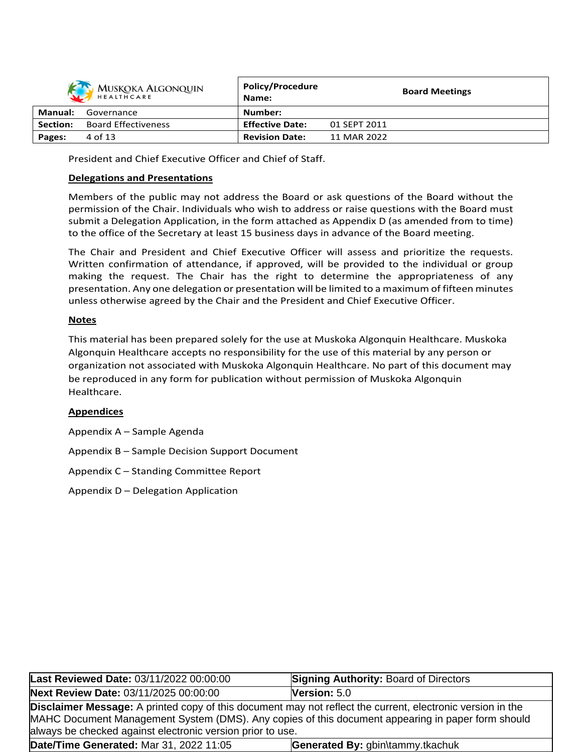| <b>MUSKOKA ALGONQUIN</b><br>HEALTHCARE |                            | <b>Policy/Procedure</b><br>Name: |              | <b>Board Meetings</b> |  |
|----------------------------------------|----------------------------|----------------------------------|--------------|-----------------------|--|
| <b>Manual:</b>                         | Governance                 | Number:                          |              |                       |  |
| Section:                               | <b>Board Effectiveness</b> | <b>Effective Date:</b>           | 01 SEPT 2011 |                       |  |
| Pages:                                 | 4 of 13                    | <b>Revision Date:</b>            | 11 MAR 2022  |                       |  |

President and Chief Executive Officer and Chief of Staff.

### **Delegations and Presentations**

Members of the public may not address the Board or ask questions of the Board without the permission of the Chair. Individuals who wish to address or raise questions with the Board must submit a Delegation Application, in the form attached as Appendix D (as amended from to time) to the office of the Secretary at least 15 business days in advance of the Board meeting.

The Chair and President and Chief Executive Officer will assess and prioritize the requests. Written confirmation of attendance, if approved, will be provided to the individual or group making the request. The Chair has the right to determine the appropriateness of any presentation. Any one delegation or presentation will be limited to a maximum of fifteen minutes unless otherwise agreed by the Chair and the President and Chief Executive Officer.

### **Notes**

This material has been prepared solely for the use at Muskoka Algonquin Healthcare. Muskoka Algonquin Healthcare accepts no responsibility for the use of this material by any person or organization not associated with Muskoka Algonquin Healthcare. No part of this document may be reproduced in any form for publication without permission of Muskoka Algonquin Healthcare.

### **Appendices**

Appendix A – Sample Agenda

Appendix B – Sample Decision Support Document

Appendix C – Standing Committee Report

Appendix D – Delegation Application

| Last Reviewed Date: 03/11/2022 00:00:00                                     | <b>Signing Authority: Board of Directors</b>                                                                                                                                                                           |  |  |  |  |
|-----------------------------------------------------------------------------|------------------------------------------------------------------------------------------------------------------------------------------------------------------------------------------------------------------------|--|--|--|--|
| Next Review Date: 03/11/2025 00:00:00                                       | Version: 5.0                                                                                                                                                                                                           |  |  |  |  |
| always be checked against electronic version prior to use.                  | <b>Disclaimer Message:</b> A printed copy of this document may not reflect the current, electronic version in the<br>MAHC Document Management System (DMS). Any copies of this document appearing in paper form should |  |  |  |  |
| Date/Time Generated: Mar 31, 2022 11:05<br>Generated By: gbin\tammy.tkachuk |                                                                                                                                                                                                                        |  |  |  |  |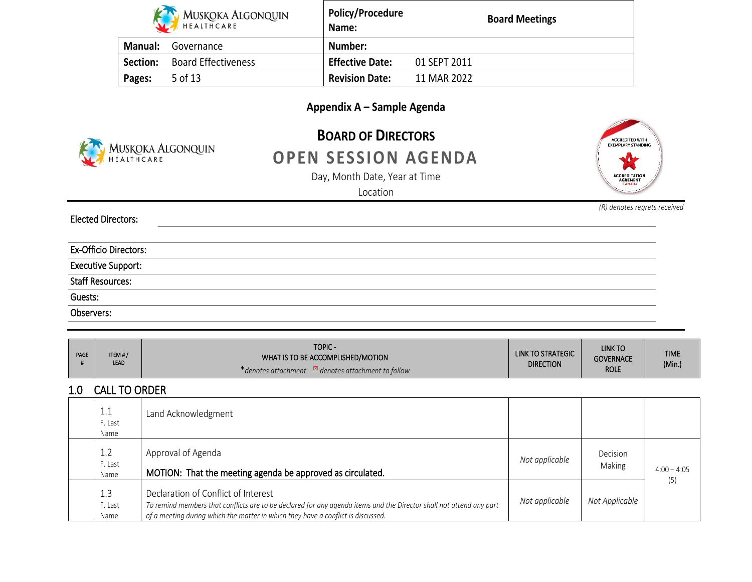| MUSKOKA ALGONQUIN |                            | <b>Policy/Procedure</b><br>Name: | <b>Board Meetings</b> |
|-------------------|----------------------------|----------------------------------|-----------------------|
| <b>Manual:</b>    | Governance                 | Number:                          |                       |
| Section:          | <b>Board Effectiveness</b> | <b>Effective Date:</b>           | 01 SEPT 2011          |
| Pages:            | 5 of 13                    | <b>Revision Date:</b>            | 11 MAR 2022           |

# **Appendix A – Sample Agenda**



# **BOARD OF DIRECTORS OPEN SESSION AGENDA**

Day, Month Date, Year at Time



*(R) denotes regrets received*

Location

**Elected Directors:**

**Ex-Officio Directors:**

**Executive Support:**

**Staff Resources:**

**Guests:**

**Observers:**

| PAGE | ITEM#/<br><b>LEAD</b> | <b>TOPIC-</b><br>WHAT IS TO BE ACCOMPLISHED/MOTION | LINK TO STRATEGIC | <b>LINK TO</b><br><b>GOVERNACE</b> | <b>TIME</b> |
|------|-----------------------|----------------------------------------------------|-------------------|------------------------------------|-------------|
|      |                       | denotes attachment to follow<br>denotes attachment | <b>DIRECTION</b>  | <b>ROLE</b>                        | (Min.)      |

## **1.0 CALL TO ORDER**

| 1.1<br>F. Last<br>Name | Land Acknowledgment                                                                                                                                                                                                                            |                |                    |               |
|------------------------|------------------------------------------------------------------------------------------------------------------------------------------------------------------------------------------------------------------------------------------------|----------------|--------------------|---------------|
| 1.2<br>F. Last<br>Name | Approval of Agenda<br>MOTION: That the meeting agenda be approved as circulated.                                                                                                                                                               | Not applicable | Decision<br>Making | $4:00 - 4:05$ |
| 1.3<br>F. Last<br>Name | Declaration of Conflict of Interest<br>To remind members that conflicts are to be declared for any agenda items and the Director shall not attend any part<br>of a meeting during which the matter in which they have a conflict is discussed. | Not applicable | Not Applicable     | (5)           |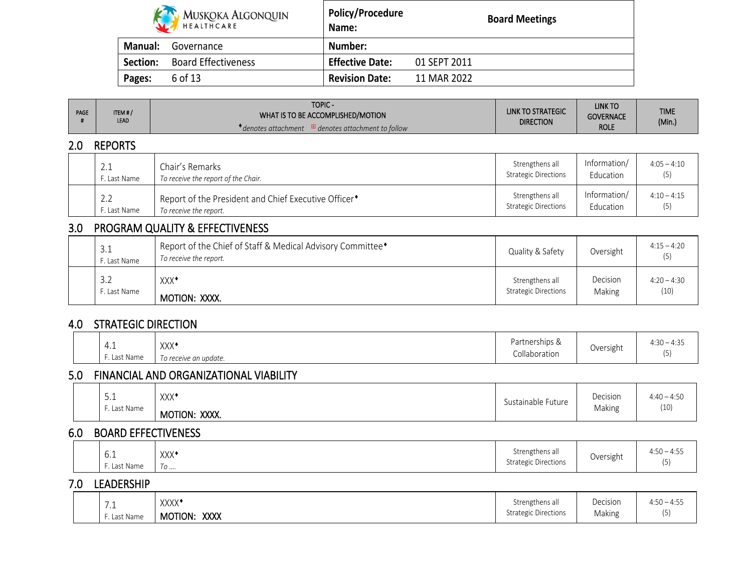| MUSKOKA ALGONQUIN |                            | <b>Policy/Procedure</b><br>Name: | <b>Board Meetings</b> |
|-------------------|----------------------------|----------------------------------|-----------------------|
| <b>Manual:</b>    | Governance                 | Number:                          |                       |
| Section:          | <b>Board Effectiveness</b> | <b>Effective Date:</b>           | 01 SEPT 2011          |
| Pages:            | 6 of 13                    | <b>Revision Date:</b>            | 11 MAR 2022           |

ா

| <b>PAGE</b> | ITEM#/      | <b>TOPIC-</b>                                                     | <b>LINK TO STRATEGIC</b> | <b>LINK TO</b>   | <b>TIME</b> |
|-------------|-------------|-------------------------------------------------------------------|--------------------------|------------------|-------------|
|             | <b>LEAD</b> | WHAT IS TO BE ACCOMPLISHED/MOTION                                 | <b>DIRECTION</b>         | <b>GOVERNACE</b> | (Min.)      |
|             |             | $\mathbb{Z}$ denotes attachment to follow<br>' denotes attachment |                          | <b>ROLE</b>      |             |

### **2.0 REPORTS**

| 2.1          | Chair's Remarks                                                  | Strengthens all             | Information/ | $4:05 - 4:10$ |
|--------------|------------------------------------------------------------------|-----------------------------|--------------|---------------|
| F. Last Name | To receive the report of the Chair.                              | <b>Strategic Directions</b> | Education    | (5)           |
| 2.2          | Report of the President and Chief Executive Officer <sup>+</sup> | Strengthens all             | Information/ | $4:10 - 4:15$ |
| F. Last Name | To receive the report.                                           | <b>Strategic Directions</b> | Education    | (5)           |

## **3.0 PROGRAM QUALITY & EFFECTIVENESS**

| 3.1<br>F. Last Name | Report of the Chief of Staff & Medical Advisory Committee <sup>*</sup><br>To receive the report. | Quality & Safety            | Oversight | $4:15 - 4:20$ |
|---------------------|--------------------------------------------------------------------------------------------------|-----------------------------|-----------|---------------|
| 3.2                 | XXX <sup>*</sup>                                                                                 | Strengthens all             | Decision  | $4:20 - 4:30$ |
| F. Last Name        | MOTION: XXXX.                                                                                    | <b>Strategic Directions</b> | Making    | (10)          |

### **4.0 STRATEGIC DIRECTION**

|  | 4.1<br>. Last Name | VVV♦<br>^^^<br>To receive an update. | Partnerships &<br>Collaboration | . .<br>Oversight | $\sim$<br>$4:30 - 4:35$<br>$\prime$ r |  |
|--|--------------------|--------------------------------------|---------------------------------|------------------|---------------------------------------|--|
|--|--------------------|--------------------------------------|---------------------------------|------------------|---------------------------------------|--|

## **5.0 FINANCIAL AND ORGANIZATIONAL VIABILITY**

|  | -<br>→۰⊥<br>Last Name | XXX <sup>*</sup><br>XXXX.<br>MOTION: | $\overline{a}$<br>Sustainable Future | Decision<br>Making | $4:40 - 4:50$<br>(10) |
|--|-----------------------|--------------------------------------|--------------------------------------|--------------------|-----------------------|
|--|-----------------------|--------------------------------------|--------------------------------------|--------------------|-----------------------|

### **6.0 BOARD EFFECTIVENESS**

| YYY♦<br><b>YVV</b><br>◡.⊥<br>ast Name<br>10 | $\sim$ .<br>Strengthens all<br>$ -$<br><b>Strategic Directions</b> | Oversight | $4:50-$<br>$ -$<br>' 4:ວະ |
|---------------------------------------------|--------------------------------------------------------------------|-----------|---------------------------|
|---------------------------------------------|--------------------------------------------------------------------|-----------|---------------------------|

### **7.0 LEADERSHIP**

| -<br>. <u>.</u> | XXXX <sup>4</sup>      | Strengthens all             | Decision | $4:50 - 4:5$<br>$\sim$ $\sim$ $\sim$<br>$\cdots$ |
|-----------------|------------------------|-----------------------------|----------|--------------------------------------------------|
| Last Name       | <b>XXXX</b><br>MOTION: | <b>Strategic Directions</b> | Making   |                                                  |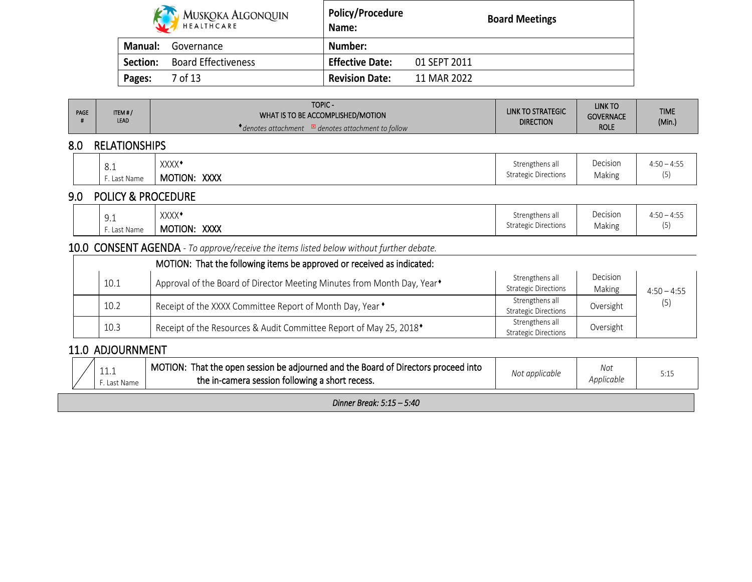|                | MUSKOKA ALGONQUIN          | <b>Policy/Procedure</b><br>Name: |              | <b>Board Meetings</b> |
|----------------|----------------------------|----------------------------------|--------------|-----------------------|
| <b>Manual:</b> | Governance                 | Number:                          |              |                       |
| Section:       | <b>Board Effectiveness</b> | <b>Effective Date:</b>           | 01 SEPT 2011 |                       |
| Pages:         | 7 of 13                    | <b>Revision Date:</b>            | 11 MAR 2022  |                       |

| <b>PAGE</b> | ITEM#/<br>LEAD                | TOPIC-<br>WHAT IS TO BE ACCOMPLISHED/MOTION<br><i>◆ denotes attachment</i> ⊠ denotes attachment to follow | LINK TO STRATEGIC<br><b>DIRECTION</b>          | LINK TO<br><b>GOVERNACE</b><br><b>ROLE</b> | <b>TIME</b><br>(Min.) |
|-------------|-------------------------------|-----------------------------------------------------------------------------------------------------------|------------------------------------------------|--------------------------------------------|-----------------------|
| 8.0         | <b>RELATIONSHIPS</b>          |                                                                                                           |                                                |                                            |                       |
|             | 8.1<br>F. Last Name           | XXXX <sup>*</sup><br>MOTION: XXXX                                                                         | Strengthens all<br><b>Strategic Directions</b> | Decision<br>Making                         | $4:50 - 4:55$<br>(5)  |
| 9.0         | <b>POLICY &amp; PROCEDURE</b> |                                                                                                           |                                                |                                            |                       |
|             | 9.1<br>F. Last Name           | XXXX <sup>+</sup><br>MOTION: XXXX                                                                         | Strengthens all<br><b>Strategic Directions</b> | Decision<br>Making                         | $4:50 - 4:55$<br>(5)  |
|             |                               | <b>10.0 CONSENT AGENDA</b> - To approve/receive the items listed below without further debate.            |                                                |                                            |                       |
|             |                               | MOTION: That the following items be approved or received as indicated:                                    |                                                |                                            |                       |
|             | 10.1                          | Approval of the Board of Director Meeting Minutes from Month Day, Year <sup>+</sup>                       | Strengthens all<br><b>Strategic Directions</b> | Decision<br>Making                         | $4:50 - 4:55$         |
|             | 10.2                          | Receipt of the XXXX Committee Report of Month Day, Year •                                                 | Strengthens all<br><b>Strategic Directions</b> | Oversight                                  | (5)                   |
|             | 10.3                          | Receipt of the Resources & Audit Committee Report of May 25, 2018 <sup>*</sup>                            | Strengthens all<br><b>Strategic Directions</b> | Oversight                                  |                       |

# **11.0 ADJOURNMENT**

| <b>++++</b><br>Last Naffle | MOT<br>That the open session be adiourned and the Board of Directors proc<br>TION:<br>roceed into<br>the in-camera session following a short recess. | upplicupie | Not<br>Applicable | ◡.⊥ |
|----------------------------|------------------------------------------------------------------------------------------------------------------------------------------------------|------------|-------------------|-----|
|                            |                                                                                                                                                      |            |                   |     |

*Dinner Break: 5:15 – 5:40*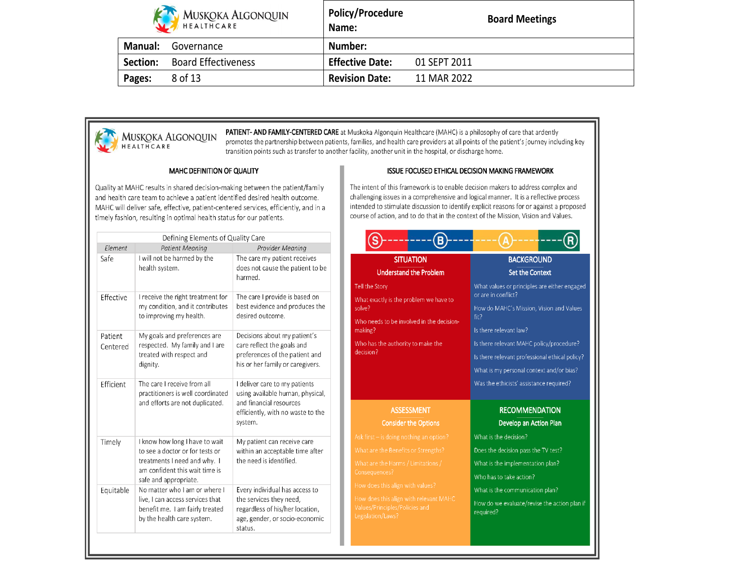|          | MUSKOKA ALGONQUIN          | <b>Policy/Procedure</b><br>Name: | <b>Board Meetings</b> |
|----------|----------------------------|----------------------------------|-----------------------|
| Manual:  | Governance                 | Number:                          |                       |
| Section: | <b>Board Effectiveness</b> | <b>Effective Date:</b>           | 01 SEPT 2011          |
| Pages:   | 8 of 13                    | <b>Revision Date:</b>            | 11 MAR 2022           |



MUSKOKA ALGONQUIN

PATIENT- AND FAMILY-CENTERED CARE at Muskoka Algonquin Healthcare (MAHC) is a philosophy of care that ardently promotes the partnership between patients, families, and health care providers at all points of the patient's journey including key transition points such as transfer to another facility, another unit in the hospital, or discharge home.

#### MAHC DEFINITION OF QUALITY

Quality at MAHC results in shared decision-making between the patient/family and health care team to achieve a patient identified desired health outcome. MAHC will deliver safe, effective, patient-centered services, efficiently, and in a timely fashion, resulting in optimal health status for our patients.

The intent of this framework is to enable decision makers to address complex and challenging issues in a comprehensive and logical manner. It is a reflective process intended to stimulate discussion to identify explicit reasons for or against a proposed course of action, and to do that in the context of the Mission, Vision and Values.

ISSUE FOCUSED ETHICAL DECISION MAKING FRAMEWORK

| Element             | Defining Elements of Quality Care<br><b>Patient Meaning</b>                                                                                                  | Provider Meaning                                                                                                                             |
|---------------------|--------------------------------------------------------------------------------------------------------------------------------------------------------------|----------------------------------------------------------------------------------------------------------------------------------------------|
| Safe                | I will not be harmed by the<br>health system.                                                                                                                | The care my patient receives<br>does not cause the patient to be<br>harmed.                                                                  |
| Effective           | I receive the right treatment for<br>my condition, and it contributes<br>to improving my health.                                                             | The care I provide is based on<br>best evidence and produces the<br>desired outcome.                                                         |
| Patient<br>Centered | My goals and preferences are<br>respected. My family and I are<br>treated with respect and<br>dignity.                                                       | Decisions about my patient's<br>care reflect the goals and<br>preferences of the patient and<br>his or her family or caregivers.             |
| Efficient           | The care I receive from all<br>practitioners is well coordinated<br>and efforts are not duplicated.                                                          | I deliver care to my patients<br>using available human, physical,<br>and financial resources<br>efficiently, with no waste to the<br>system. |
| Timely              | I know how long I have to wait<br>to see a doctor or for tests or<br>treatments I need and why. I<br>am confident this wait time is<br>safe and appropriate. | My patient can receive care<br>within an acceptable time after<br>the need is identified.                                                    |
| Equitable           | No matter who I am or where I<br>live, I can access services that<br>benefit me. I am fairly treated<br>by the health care system.                           | Every individual has access to<br>the services they need,<br>regardless of his/her location,<br>age, gender, or socio-economic<br>status.    |

| <b>SITUATION</b><br><b>Understand the Problem</b>                                                                                                                                                                                                                                                          | <b>BACKGROUND</b><br><b>Set the Context</b>                                                                                                                                                                                                                                                                                            |
|------------------------------------------------------------------------------------------------------------------------------------------------------------------------------------------------------------------------------------------------------------------------------------------------------------|----------------------------------------------------------------------------------------------------------------------------------------------------------------------------------------------------------------------------------------------------------------------------------------------------------------------------------------|
| the Story<br>at exactly is the problem we have to<br>e?<br>o needs to be involved in the decision-<br>sing?<br>o has the authority to make the<br>sion?                                                                                                                                                    | What values or principles are either engaged<br>or are in conflict?<br>How do MAHC's Mission, Vision and Values<br>fit?<br>Is there relevant law?<br>Is there relevant MAHC policy/procedure?<br>Is there relevant professional ethical policy?<br>What is my personal context and/or bias?<br>Was the ethicists' assistance required? |
| <b>ASSESSMENT</b><br><b>Consider the Options</b><br>$first - is doing nothing an option?$<br>at are the Benefits or Strengths?<br>at are the Harms / Limitations /<br>sequences?<br>v does this align with values?<br>v does this align with relevant MAHC<br>res/Principles/Policies and<br>slation/Laws? | <b>RECOMMENDATION</b><br>Develop an Action Plan<br>What is the decision?<br>Does the decision pass the TV test?<br>What is the implementation plan?<br>Who has to take action?<br>What is the communication plan?<br>How do we evaluate/revise the action plan if<br>required?                                                         |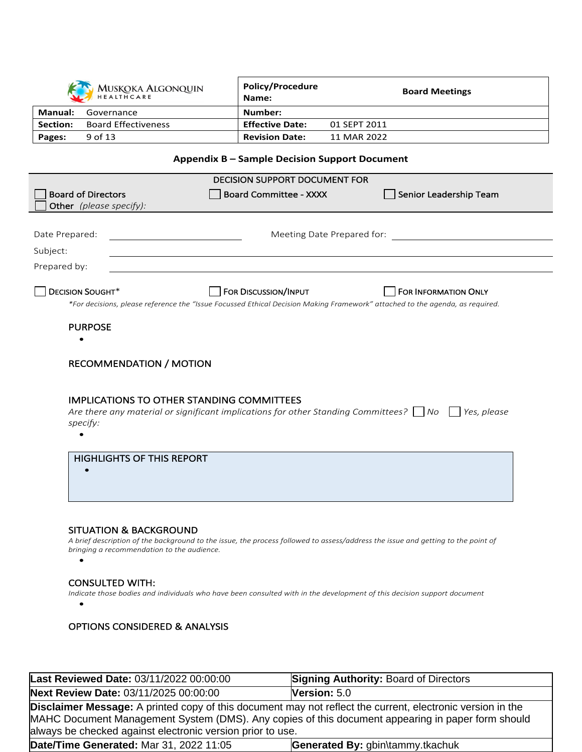|                 | MUSKOKA ALGONQUIN          | <b>Policy/Procedure</b><br>Name: |              | <b>Board Meetings</b> |
|-----------------|----------------------------|----------------------------------|--------------|-----------------------|
| Manual:         | Governance                 | Number:                          |              |                       |
| <b>Section:</b> | <b>Board Effectiveness</b> | <b>Effective Date:</b>           | 01 SEPT 2011 |                       |
| Pages:          | 9 of 13                    | <b>Revision Date:</b>            | 11 MAR 2022  |                       |

### **Appendix B – Sample Decision Support Document**

| <b>Board of Directors</b><br><b>Board Committee - XXXX</b><br>Senior Leadership Team<br>Other (please specify):<br>Date Prepared:<br>Meeting Date Prepared for:<br>Subject:<br>Prepared by:<br><b>DECISION SOUGHT*</b><br>FOR DISCUSSION/INPUT<br><b>FOR INFORMATION ONLY</b><br>*For decisions, please reference the "Issue Focussed Ethical Decision Making Framework" attached to the agenda, as required.<br><b>PURPOSE</b><br><b>RECOMMENDATION / MOTION</b><br><b>IMPLICATIONS TO OTHER STANDING COMMITTEES</b><br>Are there any material or significant implications for other Standing Committees? $\Box$ No $\Box$ Yes, please<br>specify:<br><b>HIGHLIGHTS OF THIS REPORT</b> | <b>DECISION SUPPORT DOCUMENT FOR</b> |  |
|-----------------------------------------------------------------------------------------------------------------------------------------------------------------------------------------------------------------------------------------------------------------------------------------------------------------------------------------------------------------------------------------------------------------------------------------------------------------------------------------------------------------------------------------------------------------------------------------------------------------------------------------------------------------------------------------|--------------------------------------|--|
|                                                                                                                                                                                                                                                                                                                                                                                                                                                                                                                                                                                                                                                                                         |                                      |  |
|                                                                                                                                                                                                                                                                                                                                                                                                                                                                                                                                                                                                                                                                                         |                                      |  |
|                                                                                                                                                                                                                                                                                                                                                                                                                                                                                                                                                                                                                                                                                         |                                      |  |
|                                                                                                                                                                                                                                                                                                                                                                                                                                                                                                                                                                                                                                                                                         |                                      |  |
|                                                                                                                                                                                                                                                                                                                                                                                                                                                                                                                                                                                                                                                                                         |                                      |  |
|                                                                                                                                                                                                                                                                                                                                                                                                                                                                                                                                                                                                                                                                                         |                                      |  |
|                                                                                                                                                                                                                                                                                                                                                                                                                                                                                                                                                                                                                                                                                         |                                      |  |
|                                                                                                                                                                                                                                                                                                                                                                                                                                                                                                                                                                                                                                                                                         |                                      |  |
|                                                                                                                                                                                                                                                                                                                                                                                                                                                                                                                                                                                                                                                                                         |                                      |  |
|                                                                                                                                                                                                                                                                                                                                                                                                                                                                                                                                                                                                                                                                                         |                                      |  |
|                                                                                                                                                                                                                                                                                                                                                                                                                                                                                                                                                                                                                                                                                         |                                      |  |
|                                                                                                                                                                                                                                                                                                                                                                                                                                                                                                                                                                                                                                                                                         |                                      |  |
|                                                                                                                                                                                                                                                                                                                                                                                                                                                                                                                                                                                                                                                                                         |                                      |  |
|                                                                                                                                                                                                                                                                                                                                                                                                                                                                                                                                                                                                                                                                                         |                                      |  |
|                                                                                                                                                                                                                                                                                                                                                                                                                                                                                                                                                                                                                                                                                         |                                      |  |
|                                                                                                                                                                                                                                                                                                                                                                                                                                                                                                                                                                                                                                                                                         |                                      |  |
|                                                                                                                                                                                                                                                                                                                                                                                                                                                                                                                                                                                                                                                                                         |                                      |  |
|                                                                                                                                                                                                                                                                                                                                                                                                                                                                                                                                                                                                                                                                                         |                                      |  |
|                                                                                                                                                                                                                                                                                                                                                                                                                                                                                                                                                                                                                                                                                         |                                      |  |
|                                                                                                                                                                                                                                                                                                                                                                                                                                                                                                                                                                                                                                                                                         |                                      |  |
|                                                                                                                                                                                                                                                                                                                                                                                                                                                                                                                                                                                                                                                                                         |                                      |  |
|                                                                                                                                                                                                                                                                                                                                                                                                                                                                                                                                                                                                                                                                                         |                                      |  |
|                                                                                                                                                                                                                                                                                                                                                                                                                                                                                                                                                                                                                                                                                         |                                      |  |
|                                                                                                                                                                                                                                                                                                                                                                                                                                                                                                                                                                                                                                                                                         |                                      |  |
| <b>SITUATION &amp; BACKGROUND</b><br>A brief description of the background to the issue, the process followed to assess/address the issue and getting to the point of                                                                                                                                                                                                                                                                                                                                                                                                                                                                                                                   |                                      |  |
| bringing a recommendation to the audience.                                                                                                                                                                                                                                                                                                                                                                                                                                                                                                                                                                                                                                              |                                      |  |
| $\bullet$                                                                                                                                                                                                                                                                                                                                                                                                                                                                                                                                                                                                                                                                               |                                      |  |
|                                                                                                                                                                                                                                                                                                                                                                                                                                                                                                                                                                                                                                                                                         |                                      |  |
| <b>CONSULTED WITH:</b><br>Indicate those bodies and individuals who have been consulted with in the development of this decision support document                                                                                                                                                                                                                                                                                                                                                                                                                                                                                                                                       |                                      |  |

 $\bullet$ 

**OPTIONS CONSIDERED & ANALYSIS**

| Last Reviewed Date: 03/11/2022 00:00:00                                                                                                                                                                                                                                              | <b>Signing Authority: Board of Directors</b> |  |  |
|--------------------------------------------------------------------------------------------------------------------------------------------------------------------------------------------------------------------------------------------------------------------------------------|----------------------------------------------|--|--|
| Next Review Date: 03/11/2025 00:00:00                                                                                                                                                                                                                                                | <b>Version:</b> $5.0$                        |  |  |
| <b>Disclaimer Message:</b> A printed copy of this document may not reflect the current, electronic version in the<br>MAHC Document Management System (DMS). Any copies of this document appearing in paper form should<br>always be checked against electronic version prior to use. |                                              |  |  |
| Date/Time Generated: Mar 31, 2022 11:05                                                                                                                                                                                                                                              | Generated By: gbin\tammy.tkachuk             |  |  |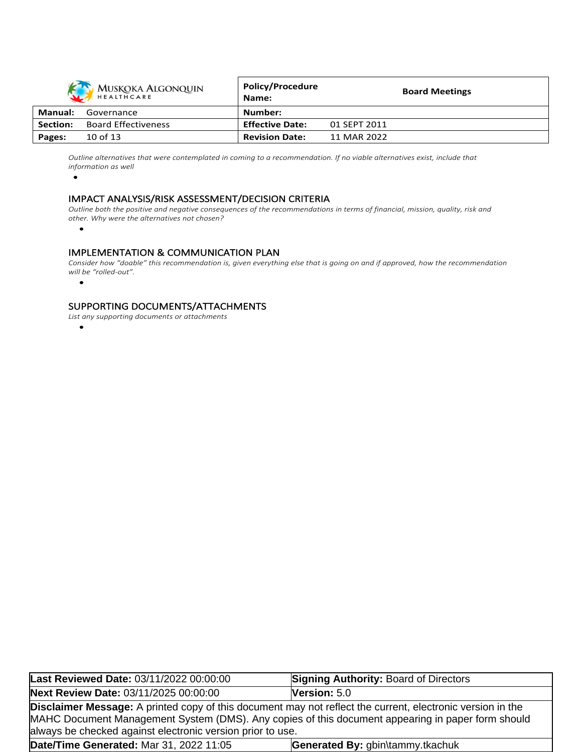

Outline alternatives that were contemplated in coming to a recommendation. If no viable alternatives exist, include that *information as well*

•

### **IMPACT ANALYSIS/RISK ASSESSMENT/DECISION CRITERIA**

Outline both the positive and negative consequences of the recommendations in terms of financial, mission, quality, risk and *other. Why were the alternatives not chosen?* 

•

### **IMPLEMENTATION & COMMUNICATION PLAN**

Consider how "doable" this recommendation is, given everything else that is going on and if approved, how the recommendation *will be "rolled-out".* 

•

#### **SUPPORTING DOCUMENTS/ATTACHMENTS**

*List any supporting documents or attachments*

•

| Last Reviewed Date: 03/11/2022 00:00:00                                                                                                                                                                                                                                              | <b>Signing Authority: Board of Directors</b> |  |  |
|--------------------------------------------------------------------------------------------------------------------------------------------------------------------------------------------------------------------------------------------------------------------------------------|----------------------------------------------|--|--|
| Next Review Date: 03/11/2025 00:00:00                                                                                                                                                                                                                                                | Version: 5.0                                 |  |  |
| <b>Disclaimer Message:</b> A printed copy of this document may not reflect the current, electronic version in the<br>MAHC Document Management System (DMS). Any copies of this document appearing in paper form should<br>always be checked against electronic version prior to use. |                                              |  |  |
| Date/Time Generated: Mar 31, 2022 11:05                                                                                                                                                                                                                                              | Generated By: gbin\tammy.tkachuk             |  |  |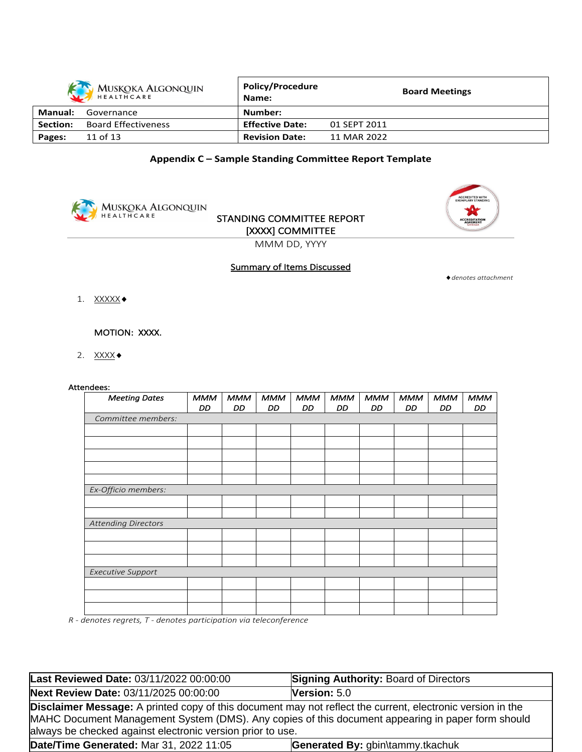|          | <b>MUSKOKA ALGONQUIN</b><br>HEALTHCARE | <b>Policy/Procedure</b><br>Name: |              | <b>Board Meetings</b> |
|----------|----------------------------------------|----------------------------------|--------------|-----------------------|
| Manual:  | Governance                             | Number:                          |              |                       |
| Section: | <b>Board Effectiveness</b>             | <b>Effective Date:</b>           | 01 SEPT 2011 |                       |
| Pages:   | 11 of 13                               | <b>Revision Date:</b>            | 11 MAR 2022  |                       |

### **Appendix C – Sample Standing Committee Report Template**



## **STANDING COMMITTEE REPORT [XXXX] COMMITTEE**



MMM DD, YYYY

### **Summary of Items Discussed**

*denotes attachment*

1. XXXXX •

**MOTION: XXXX.** 

2.  $\overline{XXX}$ 

#### **Attendees:**

| <b>Meeting Dates</b>       | <b>MMM</b> | <b>MMM</b> | <b>MMM</b> | <b>MMM</b> | <b>MMM</b> | <b>MMM</b> | <b>MMM</b> | <b>MMM</b> | <b>MMM</b> |
|----------------------------|------------|------------|------------|------------|------------|------------|------------|------------|------------|
|                            | DD         | DD.        | DD         | DD         | DD         | DD.        | DD.        | DD.        | DD         |
| Committee members:         |            |            |            |            |            |            |            |            |            |
|                            |            |            |            |            |            |            |            |            |            |
|                            |            |            |            |            |            |            |            |            |            |
|                            |            |            |            |            |            |            |            |            |            |
|                            |            |            |            |            |            |            |            |            |            |
|                            |            |            |            |            |            |            |            |            |            |
| Ex-Officio members:        |            |            |            |            |            |            |            |            |            |
|                            |            |            |            |            |            |            |            |            |            |
|                            |            |            |            |            |            |            |            |            |            |
| <b>Attending Directors</b> |            |            |            |            |            |            |            |            |            |
|                            |            |            |            |            |            |            |            |            |            |
|                            |            |            |            |            |            |            |            |            |            |
|                            |            |            |            |            |            |            |            |            |            |
| <b>Executive Support</b>   |            |            |            |            |            |            |            |            |            |
|                            |            |            |            |            |            |            |            |            |            |
|                            |            |            |            |            |            |            |            |            |            |
|                            |            |            |            |            |            |            |            |            |            |

*R - denotes regrets, T - denotes participation via teleconference*

| Last Reviewed Date: 03/11/2022 00:00:00                                                                                                                                                                                                                                              | <b>Signing Authority: Board of Directors</b> |  |  |
|--------------------------------------------------------------------------------------------------------------------------------------------------------------------------------------------------------------------------------------------------------------------------------------|----------------------------------------------|--|--|
| Next Review Date: 03/11/2025 00:00:00                                                                                                                                                                                                                                                | Version: $5.0$                               |  |  |
| <b>Disclaimer Message:</b> A printed copy of this document may not reflect the current, electronic version in the<br>MAHC Document Management System (DMS). Any copies of this document appearing in paper form should<br>always be checked against electronic version prior to use. |                                              |  |  |
| Date/Time Generated: Mar 31, 2022 11:05                                                                                                                                                                                                                                              | Generated By: gbin\tammy.tkachuk             |  |  |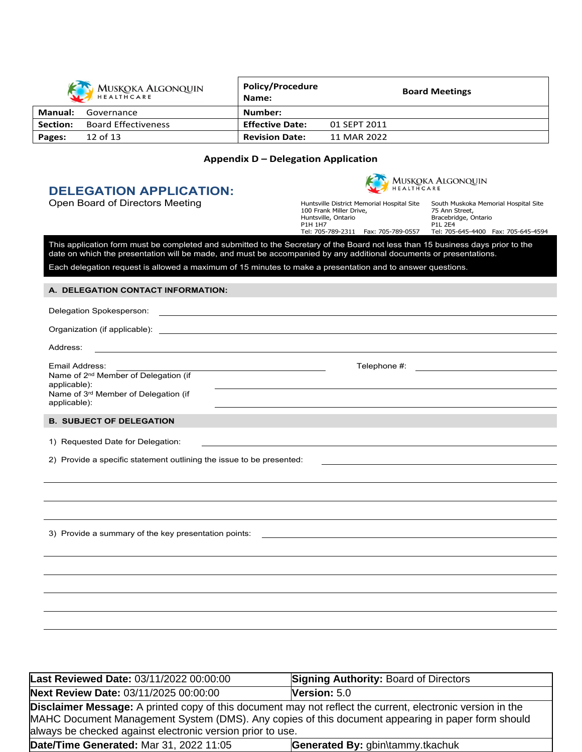|          | MUSKOKA ALGONQUIN          | <b>Policy/Procedure</b><br>Name: | <b>Board Meetings</b> |  |
|----------|----------------------------|----------------------------------|-----------------------|--|
| Manual:  | Governance                 | Number:                          |                       |  |
| Section: | <b>Board Effectiveness</b> | <b>Effective Date:</b>           | 01 SEPT 2011          |  |
| Pages:   | 12 of 13                   | <b>Revision Date:</b>            | 11 MAR 2022           |  |

#### **Appendix D – Delegation Application**

## **DELEGATION APPLICATION:**



Open Board of Directors Meeting **Huntsville District Memorial Hospital Site** 

100 Frank Miller Drive, Huntsville, Ontario P1H 1H7 Tel: 705-789-2311 Fax: 705-789-0557

South Muskoka Memorial Hospital Site 75 Ann Street, Bracebridge, Ontario P1L 2E4 Tel: 705-645-4400 Fax: 705-645-4594

This application form must be completed and submitted to the Secretary of the Board not less than 15 business days prior to the date on which the presentation will be made, and must be accompanied by any additional documents or presentations.

#### Each delegation request is allowed a maximum of 15 minutes to make a presentation and to answer questions.

#### **A. DELEGATION CONTACT INFORMATION:**

Organization (if applicable):

Address:

Email Address: Telephone #: Name of 2<sup>nd</sup> Member of Delegation (if applicable): Name of 3<sup>rd</sup> Member of Delegation (if applicable):

#### **B. SUBJECT OF DELEGATION**

1) Requested Date for Delegation:

2) Provide a specific statement outlining the issue to be presented:

3) Provide a summary of the key presentation points:

Last Reviewed Date: 03/11/2022 00:00:00 **Signing Authority: Board of Directors Next Review Date:** 03/11/2025 00:00:00 **Version:** 5.0 **Disclaimer Message:** A printed copy of this document may not reflect the current, electronic version in the MAHC Document Management System (DMS). Any copies of this document appearing in paper form should always be checked against electronic version prior to use. **Date/Time Generated:** Mar 31, 2022 11:05 **Generated By:** gbin\tammy.tkachuk